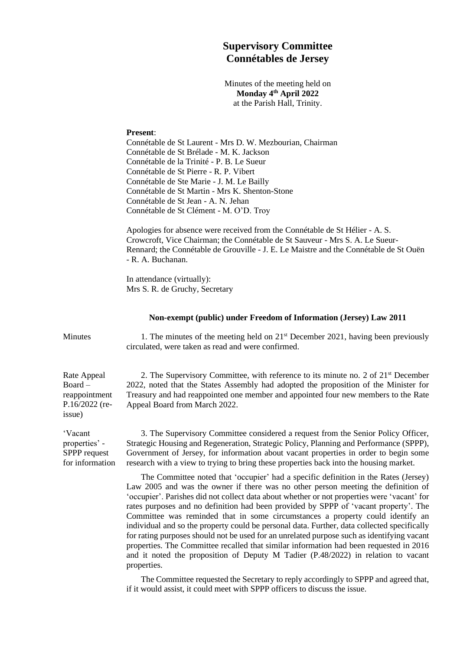## **Supervisory Committee Connétables de Jersey**

Minutes of the meeting held on **Monday 4 th April 2022** at the Parish Hall, Trinity.

## **Present**:

Connétable de St Laurent - Mrs D. W. Mezbourian, Chairman Connétable de St Brélade - M. K. Jackson Connétable de la Trinité - P. B. Le Sueur Connétable de St Pierre - R. P. Vibert Connétable de Ste Marie - J. M. Le Bailly Connétable de St Martin - Mrs K. Shenton-Stone Connétable de St Jean - A. N. Jehan Connétable de St Clément - M. O'D. Troy

Apologies for absence were received from the Connétable de St Hélier - A. S. Crowcroft, Vice Chairman; the Connétable de St Sauveur - Mrs S. A. Le Sueur-Rennard; the Connétable de Grouville - J. E. Le Maistre and the Connétable de St Ouën - R. A. Buchanan.

In attendance (virtually): Mrs S. R. de Gruchy, Secretary

## **Non-exempt (public) under Freedom of Information (Jersey) Law 2011**

Minutes 1. The minutes of the meeting held on 21<sup>st</sup> December 2021, having been previously circulated, were taken as read and were confirmed.

Rate Appeal Board – reappointment P.16/2022 (reissue)

'Vacant properties' - SPPP request for information

2. The Supervisory Committee, with reference to its minute no. 2 of 21st December 2022, noted that the States Assembly had adopted the proposition of the Minister for Treasury and had reappointed one member and appointed four new members to the Rate Appeal Board from March 2022.

3. The Supervisory Committee considered a request from the Senior Policy Officer, Strategic Housing and Regeneration, Strategic Policy, Planning and Performance (SPPP), Government of Jersey, for information about vacant properties in order to begin some research with a view to trying to bring these properties back into the housing market.

The Committee noted that 'occupier' had a specific definition in the Rates (Jersey) Law 2005 and was the owner if there was no other person meeting the definition of 'occupier'. Parishes did not collect data about whether or not properties were 'vacant' for rates purposes and no definition had been provided by SPPP of 'vacant property'. The Committee was reminded that in some circumstances a property could identify an individual and so the property could be personal data. Further, data collected specifically for rating purposes should not be used for an unrelated purpose such as identifying vacant properties. The Committee recalled that similar information had been requested in 2016 and it noted the proposition of Deputy M Tadier (P.48/2022) in relation to vacant properties.

The Committee requested the Secretary to reply accordingly to SPPP and agreed that, if it would assist, it could meet with SPPP officers to discuss the issue.